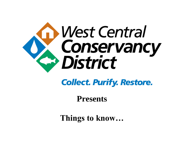

# **Collect. Purify. Restore.**

**Presents**

**Things to know…**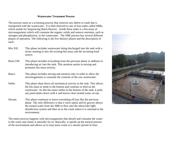## **Wastewater Treatment Process**

The process starts at a screening process that removes any debris or trash that is transported with the wastewater. It is then directed to one of four tanks called SBRs, which stands for Sequencing Batch Reactor. Inside these tanks is a bio-mass of microorganisms which will consume the organic solids and remove nutrients, such as nitrogen and phosphorous, in the wastewater. The SBR process has several different phases of operation. The following is the five distinct phases and the description of each:

- Mix Fill: This phase includes wastewater being discharged into the tank with a mixer running to mix the existing bio-mass and the incoming food source.
- React Fill: This phase includes everything from the previous phase in addition to introducing air into the tank. This aeration assists in mixing and promotes bio-mass activity.
- React: This phase includes mixing and aeration only in order to allow the microorganisms to consume the contents of the raw wastewater.
- Settle: This phase shuts down all mechanical activity to the tank. This allows the bio-mass to settle to the bottom and continue to feed on the wastewater. As this bio-mass settles to the bottom of the tank, it pulls any particulates down with it and leaves clear treated water on top.
- Decant: This phase continues to leave everything off just like the previous phase. The only difference is that a valve opens and by gravity allows the treated water from the SBR to flow into the ultraviolet light disinfection system and then on to the creek where it is returned to the environment.

The entire process happens with microorganisms that absorb and consume the waste in the water and cleans it naturally for us. Basically, it speeds up the natural process of the environment and allows us to treat more waste in a shorter period of time.

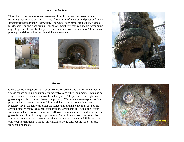### **Collection System**

The collection system transfers wastewater from homes and businesses to the treatment facility. The District has around 140 miles of underground pipes and many lift stations that pump the wastewater. The wastewater comes from sinks, washers, toilets, showers, and floor drains. Things to remember is that you should never dump any oil, grease, chemicals of any kind, or medicines down these drains. These items pose a potential hazard to people and the environment.







#### **Grease**

Grease can be a major problem for our collection system and our treatment facility. Grease causes build up on pumps, piping, valves and other equipment. It can also be very expensive to treat and remove from the system. The picture to the right is a grease trap that is not being cleaned out properly. We have a grease trap inspection program that all restaurants must follow and that allows us to monitor them regularly. Even though we monitor the restaurants and make them dispose of the grease properly, many issues still arise from the grease that enters into the system from homes. One way you can make a difference is to make sure you dispose of your grease from cooking in the appropriate way. Never dump it down the drain. Pour your used grease into a coffee can or other container and once it is full throw it out with your normal trash. This not only includes frying oils, but the run off grease from cooking meats.